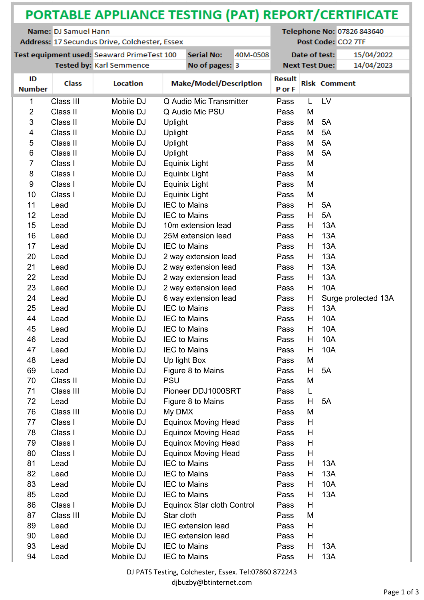| PORTABLE APPLIANCE TESTING (PAT) REPORT/CERTIFICATE |                                               |                                            |                            |          |                         |                            |                     |                     |  |
|-----------------------------------------------------|-----------------------------------------------|--------------------------------------------|----------------------------|----------|-------------------------|----------------------------|---------------------|---------------------|--|
| Name: DJ Samuel Hann                                |                                               |                                            |                            |          |                         | Telephone No: 07826 843640 |                     |                     |  |
|                                                     | Address: 17 Secundus Drive, Colchester, Essex | Post Code: CO2 7TF                         |                            |          |                         |                            |                     |                     |  |
|                                                     |                                               | Test equipment used: Seaward PrimeTest 100 | <b>Serial No:</b>          | 40M-0508 |                         | Date of test:              |                     | 15/04/2022          |  |
|                                                     |                                               | Tested by: Karl Semmence                   | No of pages: 3             |          |                         | <b>Next Test Due:</b>      |                     | 14/04/2023          |  |
| ID<br><b>Number</b>                                 | <b>Class</b>                                  | <b>Location</b>                            | Make/Model/Description     |          | <b>Result</b><br>P or F |                            | <b>Risk Comment</b> |                     |  |
| 1                                                   | Class III                                     | Mobile DJ                                  | Q Audio Mic Transmitter    |          | Pass                    | L                          | LV                  |                     |  |
| $\overline{2}$                                      | Class II                                      | Mobile DJ                                  | Q Audio Mic PSU            |          | Pass                    | M                          |                     |                     |  |
| 3                                                   | Class II                                      | Mobile DJ                                  | Uplight                    |          | Pass                    | M                          | 5A                  |                     |  |
| 4                                                   | Class II                                      | Mobile DJ                                  | <b>Uplight</b>             |          | Pass                    | M                          | 5A                  |                     |  |
| 5                                                   | Class II                                      | Mobile DJ                                  | <b>Uplight</b>             |          | Pass                    | M                          | 5A                  |                     |  |
| 6                                                   | Class II                                      | Mobile DJ                                  | <b>Uplight</b>             |          | Pass                    | M                          | 5A                  |                     |  |
| 7                                                   | Class I                                       | Mobile DJ                                  | Equinix Light              |          | Pass                    | M                          |                     |                     |  |
| 8                                                   | Class I                                       | Mobile DJ                                  | Equinix Light              |          | Pass                    | M                          |                     |                     |  |
| $\boldsymbol{9}$                                    | Class I                                       | Mobile DJ                                  | Equinix Light              |          | Pass                    | M                          |                     |                     |  |
| 10                                                  | Class I                                       | Mobile DJ                                  | Equinix Light              |          | Pass                    | M                          |                     |                     |  |
| 11                                                  | Lead                                          | Mobile DJ                                  | <b>IEC to Mains</b>        |          | Pass                    | H                          | 5A                  |                     |  |
| 12                                                  | Lead                                          | Mobile DJ                                  | <b>IEC to Mains</b>        |          | Pass                    | H                          | 5A                  |                     |  |
| 15                                                  | Lead                                          | Mobile DJ                                  | 10m extension lead         |          | Pass                    | Н                          | 13A                 |                     |  |
| 16                                                  | Lead                                          | Mobile DJ                                  | 25M extension lead         |          | Pass                    | Н                          | 13A                 |                     |  |
| 17                                                  | Lead                                          | Mobile DJ                                  | <b>IEC to Mains</b>        |          | Pass                    | Н                          | 13A                 |                     |  |
| 20                                                  | Lead                                          | Mobile DJ                                  | 2 way extension lead       |          | Pass                    | Н                          | 13A                 |                     |  |
| 21                                                  | Lead                                          | Mobile DJ                                  | 2 way extension lead       |          | Pass                    | Н                          | 13A                 |                     |  |
| 22                                                  | Lead                                          | Mobile DJ                                  | 2 way extension lead       |          | Pass                    | Н                          | 13A                 |                     |  |
| 23                                                  | Lead                                          | Mobile DJ                                  | 2 way extension lead       |          | Pass                    | Н                          | 10A                 |                     |  |
| 24                                                  | Lead                                          | Mobile DJ                                  | 6 way extension lead       |          | Pass                    | H                          |                     | Surge protected 13A |  |
| 25                                                  | Lead                                          | Mobile DJ                                  | <b>IEC to Mains</b>        |          | Pass                    | Н                          | 13A                 |                     |  |
| 44                                                  | Lead                                          | Mobile DJ                                  | <b>IEC to Mains</b>        |          | Pass                    | Н                          | 10A                 |                     |  |
| 45                                                  | Lead                                          | Mobile DJ                                  | <b>IEC</b> to Mains        |          | Pass                    | H                          | 10A                 |                     |  |
| 46                                                  | Lead                                          | Mobile DJ                                  | <b>IEC to Mains</b>        |          | Pass                    | Н                          | 10A                 |                     |  |
| 47                                                  | Lead                                          | Mobile DJ                                  | <b>IEC to Mains</b>        |          | Pass                    | Н                          | 10A                 |                     |  |
| 48                                                  | Lead                                          | Mobile DJ                                  | Up light Box               |          | Pass                    | M                          |                     |                     |  |
| 69                                                  | Lead                                          | Mobile DJ                                  | Figure 8 to Mains          |          | Pass                    | H.                         | 5A                  |                     |  |
| 70                                                  | Class II                                      | Mobile DJ                                  | <b>PSU</b>                 |          | Pass                    | M                          |                     |                     |  |
| 71                                                  | Class III                                     | Mobile DJ                                  | Pioneer DDJ1000SRT         |          | Pass                    | L                          |                     |                     |  |
| 72                                                  | Lead                                          | Mobile DJ                                  | Figure 8 to Mains          |          | Pass                    | H                          | 5A                  |                     |  |
| 76                                                  | Class III                                     | Mobile DJ                                  | My DMX                     |          | Pass                    | M                          |                     |                     |  |
| 77                                                  | Class I                                       | Mobile DJ                                  | <b>Equinox Moving Head</b> |          | Pass                    | Н                          |                     |                     |  |
| 78                                                  | Class I                                       | Mobile DJ                                  | <b>Equinox Moving Head</b> |          | Pass                    | H                          |                     |                     |  |
| 79                                                  | Class I                                       | Mobile DJ                                  | <b>Equinox Moving Head</b> |          | Pass                    | Н                          |                     |                     |  |
| 80                                                  | Class I                                       | Mobile DJ                                  | <b>Equinox Moving Head</b> |          | Pass                    | н                          |                     |                     |  |
| 81                                                  | Lead                                          | Mobile DJ                                  | <b>IEC to Mains</b>        |          | Pass                    | н                          | 13A                 |                     |  |
| 82                                                  | Lead                                          | Mobile DJ                                  | <b>IEC to Mains</b>        |          | Pass                    | н                          | 13A                 |                     |  |
| 83                                                  | Lead                                          | Mobile DJ                                  | <b>IEC to Mains</b>        |          | Pass                    | н                          | 10A                 |                     |  |
| 85                                                  | Lead                                          | Mobile DJ                                  | <b>IEC to Mains</b>        |          | Pass                    | Н                          | 13A                 |                     |  |
| 86                                                  | Class I                                       | Mobile DJ                                  | Equinox Star cloth Control |          | Pass                    | Н                          |                     |                     |  |
| 87                                                  | Class III                                     | Mobile DJ                                  | Star cloth                 |          | Pass                    | M                          |                     |                     |  |
| 89                                                  | Lead                                          | Mobile DJ                                  | <b>IEC</b> extension lead  |          | Pass                    | H                          |                     |                     |  |
| 90                                                  | Lead                                          | Mobile DJ                                  | <b>IEC</b> extension lead  |          | Pass                    | Н                          |                     |                     |  |
| 93                                                  | Lead                                          | Mobile DJ                                  | <b>IEC to Mains</b>        |          | Pass                    | Н                          | 13A                 |                     |  |
| 94                                                  | Lead                                          | Mobile DJ                                  | <b>IEC to Mains</b>        |          | Pass                    | Н                          | 13A                 |                     |  |
|                                                     |                                               |                                            |                            |          |                         |                            |                     |                     |  |

DJ PATS Testing, Colchester, Essex. Tel:07860 872243

djbuzby@btinternet.com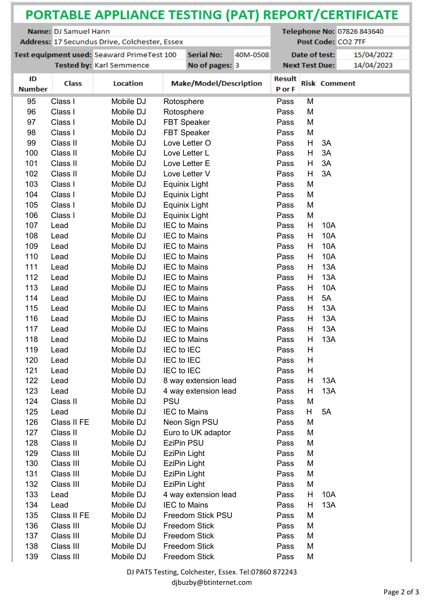| Name: DJ Samuel Hann<br>Telephone No: 07826 843640<br>Post Code: CO2 7TF<br>Address: 17 Secundus Drive, Colchester, Essex<br>Test equipment used: Seaward PrimeTest 100<br><b>Serial No:</b><br>Date of test:<br>15/04/2022<br>40M-0508<br>14/04/2023<br>Tested by: Karl Semmence<br>No of pages: 3<br><b>Next Test Due:</b><br>ID<br><b>Result</b><br>Location<br><b>Make/Model/Description</b><br><b>Class</b><br><b>Risk Comment</b><br><b>Number</b><br>P or F<br>Class I<br>95<br>Mobile DJ<br>Pass<br>M<br>Rotosphere<br>96<br>Class I<br>Mobile DJ<br>Rotosphere<br>M<br>Pass<br>97<br><b>FBT Speaker</b><br>M<br>Class I<br>Mobile DJ<br>Pass<br>98<br>Class I<br><b>FBT Speaker</b><br>Mobile DJ<br>Pass<br>M<br>99<br>Class II<br>H<br>Mobile DJ<br>Love Letter O<br>Pass<br>3A<br>Class II<br>100<br>Mobile DJ<br>Love Letter L<br>Pass<br>H.<br>3A<br>101<br>Class II<br>3A<br>Mobile DJ<br>Love Letter E<br>Pass<br>H<br>3A<br>102<br>Class II<br>Mobile DJ<br>Love Letter V<br>Pass<br>H<br>103<br>Class I<br>Mobile DJ<br>Equinix Light<br>Pass<br>M<br>104<br>Class I<br>Equinix Light<br>Mobile DJ<br>Pass<br>M<br>105<br>Class I<br>Equinix Light<br>Mobile DJ<br>M<br>Pass<br>106<br>Equinix Light<br>Class I<br>Mobile DJ<br>Pass<br>M<br><b>IEC to Mains</b><br>107<br>Lead<br>Mobile DJ<br>Н<br>10A<br>Pass<br>108<br>Mobile DJ<br><b>IEC to Mains</b><br>10A<br>Lead<br>Pass<br>Н<br>109<br>Lead<br>Mobile DJ<br><b>IEC to Mains</b><br>Pass<br>Н<br>10A<br><b>10A</b><br>110<br>Lead<br>Mobile DJ<br><b>IEC to Mains</b><br>н<br>Pass<br>111<br>Н<br>13A<br>Lead<br>Mobile DJ<br><b>IEC to Mains</b><br>Pass<br>112<br>Mobile DJ<br><b>IEC to Mains</b><br>H<br>13A<br>Lead<br>Pass<br>113<br>10A<br>Mobile DJ<br><b>IEC to Mains</b><br>Pass<br>Н<br>Lead<br>H<br>5A<br>114<br>Mobile DJ<br><b>IEC to Mains</b><br>Lead<br>Pass<br>115<br>Mobile DJ<br><b>IEC to Mains</b><br>н<br>13A<br>Lead<br>Pass<br>116<br>Mobile DJ<br><b>IEC to Mains</b><br>Pass<br>Н<br>13A<br>Lead<br>117<br><b>IEC to Mains</b><br>Pass<br>H<br>13A<br>Mobile DJ<br>Lead<br>118<br>Mobile DJ<br><b>IEC to Mains</b><br>13A<br>Pass<br>H.<br>Lead<br>119<br>Mobile DJ<br>IEC to IEC<br>Н<br>Lead<br>Pass<br>120<br>Mobile DJ<br>Lead<br>IEC to IEC<br>Pass<br>н<br>121<br>IEC to IEC<br>Lead<br>Mobile DJ<br>Pass<br>H<br>122<br>Mobile DJ<br>8 way extension lead<br>Lead<br>H.<br>13A<br>Pass<br>123<br>Lead<br>Mobile DJ<br>4 way extension lead<br>13A<br>Pass<br>H<br>124<br>Class II<br>Mobile DJ<br><b>PSU</b><br>Pass<br>M<br>125<br>Lead<br>Mobile DJ<br><b>IEC to Mains</b><br>H<br>5A<br>Pass<br>126<br>Class II FE<br>Mobile DJ<br>Neon Sign PSU<br>Pass<br>M<br>127<br>Class II<br>Mobile DJ<br>Euro to UK adaptor<br>M<br>Pass<br>Class II<br>EziPin PSU<br>128<br>Mobile DJ<br>Pass<br>M<br>129<br>Class III<br>Mobile DJ<br>EziPin Light<br>Pass<br>M<br>130<br>Class III<br>Mobile DJ<br>EziPin Light<br>Pass<br>M<br>131<br>Class III<br>Mobile DJ<br>EziPin Light<br>Pass<br>M<br>132<br>Class III<br>Mobile DJ<br>EziPin Light<br>Pass<br>M<br>133<br>4 way extension lead<br>Lead<br>Mobile DJ<br>Pass<br>10A<br>H.<br>134<br>Mobile DJ<br><b>IEC to Mains</b><br>13A<br>Lead<br>Pass<br>H<br>135<br>Class II FE<br>Freedom Stick PSU<br>M<br>Mobile DJ<br>Pass<br>136<br>Class III<br><b>Freedom Stick</b><br>Mobile DJ<br>Pass<br>M<br>137<br>Class III<br>Mobile DJ<br><b>Freedom Stick</b><br>Pass<br>M<br>Class III<br>Freedom Stick<br>138<br>Mobile DJ<br>Pass<br>M<br>139<br>Class III<br>Mobile DJ<br><b>Freedom Stick</b><br>Pass<br>M | PORTABLE APPLIANCE TESTING (PAT) REPORT/CERTIFICATE |  |  |  |  |  |  |  |  |  |  |
|---------------------------------------------------------------------------------------------------------------------------------------------------------------------------------------------------------------------------------------------------------------------------------------------------------------------------------------------------------------------------------------------------------------------------------------------------------------------------------------------------------------------------------------------------------------------------------------------------------------------------------------------------------------------------------------------------------------------------------------------------------------------------------------------------------------------------------------------------------------------------------------------------------------------------------------------------------------------------------------------------------------------------------------------------------------------------------------------------------------------------------------------------------------------------------------------------------------------------------------------------------------------------------------------------------------------------------------------------------------------------------------------------------------------------------------------------------------------------------------------------------------------------------------------------------------------------------------------------------------------------------------------------------------------------------------------------------------------------------------------------------------------------------------------------------------------------------------------------------------------------------------------------------------------------------------------------------------------------------------------------------------------------------------------------------------------------------------------------------------------------------------------------------------------------------------------------------------------------------------------------------------------------------------------------------------------------------------------------------------------------------------------------------------------------------------------------------------------------------------------------------------------------------------------------------------------------------------------------------------------------------------------------------------------------------------------------------------------------------------------------------------------------------------------------------------------------------------------------------------------------------------------------------------------------------------------------------------------------------------------------------------------------------------------------------------------------------------------------------------------------------------------------------------------------------------------------------------------------------------------------------------------------------------------------------------------------------------------------------------------------------------------------------------------------------------------------------------------------------------------------------------------------------------------------------------------------|-----------------------------------------------------|--|--|--|--|--|--|--|--|--|--|
|                                                                                                                                                                                                                                                                                                                                                                                                                                                                                                                                                                                                                                                                                                                                                                                                                                                                                                                                                                                                                                                                                                                                                                                                                                                                                                                                                                                                                                                                                                                                                                                                                                                                                                                                                                                                                                                                                                                                                                                                                                                                                                                                                                                                                                                                                                                                                                                                                                                                                                                                                                                                                                                                                                                                                                                                                                                                                                                                                                                                                                                                                                                                                                                                                                                                                                                                                                                                                                                                                                                                                                           |                                                     |  |  |  |  |  |  |  |  |  |  |
|                                                                                                                                                                                                                                                                                                                                                                                                                                                                                                                                                                                                                                                                                                                                                                                                                                                                                                                                                                                                                                                                                                                                                                                                                                                                                                                                                                                                                                                                                                                                                                                                                                                                                                                                                                                                                                                                                                                                                                                                                                                                                                                                                                                                                                                                                                                                                                                                                                                                                                                                                                                                                                                                                                                                                                                                                                                                                                                                                                                                                                                                                                                                                                                                                                                                                                                                                                                                                                                                                                                                                                           |                                                     |  |  |  |  |  |  |  |  |  |  |
|                                                                                                                                                                                                                                                                                                                                                                                                                                                                                                                                                                                                                                                                                                                                                                                                                                                                                                                                                                                                                                                                                                                                                                                                                                                                                                                                                                                                                                                                                                                                                                                                                                                                                                                                                                                                                                                                                                                                                                                                                                                                                                                                                                                                                                                                                                                                                                                                                                                                                                                                                                                                                                                                                                                                                                                                                                                                                                                                                                                                                                                                                                                                                                                                                                                                                                                                                                                                                                                                                                                                                                           |                                                     |  |  |  |  |  |  |  |  |  |  |
|                                                                                                                                                                                                                                                                                                                                                                                                                                                                                                                                                                                                                                                                                                                                                                                                                                                                                                                                                                                                                                                                                                                                                                                                                                                                                                                                                                                                                                                                                                                                                                                                                                                                                                                                                                                                                                                                                                                                                                                                                                                                                                                                                                                                                                                                                                                                                                                                                                                                                                                                                                                                                                                                                                                                                                                                                                                                                                                                                                                                                                                                                                                                                                                                                                                                                                                                                                                                                                                                                                                                                                           |                                                     |  |  |  |  |  |  |  |  |  |  |
|                                                                                                                                                                                                                                                                                                                                                                                                                                                                                                                                                                                                                                                                                                                                                                                                                                                                                                                                                                                                                                                                                                                                                                                                                                                                                                                                                                                                                                                                                                                                                                                                                                                                                                                                                                                                                                                                                                                                                                                                                                                                                                                                                                                                                                                                                                                                                                                                                                                                                                                                                                                                                                                                                                                                                                                                                                                                                                                                                                                                                                                                                                                                                                                                                                                                                                                                                                                                                                                                                                                                                                           |                                                     |  |  |  |  |  |  |  |  |  |  |
|                                                                                                                                                                                                                                                                                                                                                                                                                                                                                                                                                                                                                                                                                                                                                                                                                                                                                                                                                                                                                                                                                                                                                                                                                                                                                                                                                                                                                                                                                                                                                                                                                                                                                                                                                                                                                                                                                                                                                                                                                                                                                                                                                                                                                                                                                                                                                                                                                                                                                                                                                                                                                                                                                                                                                                                                                                                                                                                                                                                                                                                                                                                                                                                                                                                                                                                                                                                                                                                                                                                                                                           |                                                     |  |  |  |  |  |  |  |  |  |  |
|                                                                                                                                                                                                                                                                                                                                                                                                                                                                                                                                                                                                                                                                                                                                                                                                                                                                                                                                                                                                                                                                                                                                                                                                                                                                                                                                                                                                                                                                                                                                                                                                                                                                                                                                                                                                                                                                                                                                                                                                                                                                                                                                                                                                                                                                                                                                                                                                                                                                                                                                                                                                                                                                                                                                                                                                                                                                                                                                                                                                                                                                                                                                                                                                                                                                                                                                                                                                                                                                                                                                                                           |                                                     |  |  |  |  |  |  |  |  |  |  |
|                                                                                                                                                                                                                                                                                                                                                                                                                                                                                                                                                                                                                                                                                                                                                                                                                                                                                                                                                                                                                                                                                                                                                                                                                                                                                                                                                                                                                                                                                                                                                                                                                                                                                                                                                                                                                                                                                                                                                                                                                                                                                                                                                                                                                                                                                                                                                                                                                                                                                                                                                                                                                                                                                                                                                                                                                                                                                                                                                                                                                                                                                                                                                                                                                                                                                                                                                                                                                                                                                                                                                                           |                                                     |  |  |  |  |  |  |  |  |  |  |
|                                                                                                                                                                                                                                                                                                                                                                                                                                                                                                                                                                                                                                                                                                                                                                                                                                                                                                                                                                                                                                                                                                                                                                                                                                                                                                                                                                                                                                                                                                                                                                                                                                                                                                                                                                                                                                                                                                                                                                                                                                                                                                                                                                                                                                                                                                                                                                                                                                                                                                                                                                                                                                                                                                                                                                                                                                                                                                                                                                                                                                                                                                                                                                                                                                                                                                                                                                                                                                                                                                                                                                           |                                                     |  |  |  |  |  |  |  |  |  |  |
|                                                                                                                                                                                                                                                                                                                                                                                                                                                                                                                                                                                                                                                                                                                                                                                                                                                                                                                                                                                                                                                                                                                                                                                                                                                                                                                                                                                                                                                                                                                                                                                                                                                                                                                                                                                                                                                                                                                                                                                                                                                                                                                                                                                                                                                                                                                                                                                                                                                                                                                                                                                                                                                                                                                                                                                                                                                                                                                                                                                                                                                                                                                                                                                                                                                                                                                                                                                                                                                                                                                                                                           |                                                     |  |  |  |  |  |  |  |  |  |  |
|                                                                                                                                                                                                                                                                                                                                                                                                                                                                                                                                                                                                                                                                                                                                                                                                                                                                                                                                                                                                                                                                                                                                                                                                                                                                                                                                                                                                                                                                                                                                                                                                                                                                                                                                                                                                                                                                                                                                                                                                                                                                                                                                                                                                                                                                                                                                                                                                                                                                                                                                                                                                                                                                                                                                                                                                                                                                                                                                                                                                                                                                                                                                                                                                                                                                                                                                                                                                                                                                                                                                                                           |                                                     |  |  |  |  |  |  |  |  |  |  |
|                                                                                                                                                                                                                                                                                                                                                                                                                                                                                                                                                                                                                                                                                                                                                                                                                                                                                                                                                                                                                                                                                                                                                                                                                                                                                                                                                                                                                                                                                                                                                                                                                                                                                                                                                                                                                                                                                                                                                                                                                                                                                                                                                                                                                                                                                                                                                                                                                                                                                                                                                                                                                                                                                                                                                                                                                                                                                                                                                                                                                                                                                                                                                                                                                                                                                                                                                                                                                                                                                                                                                                           |                                                     |  |  |  |  |  |  |  |  |  |  |
|                                                                                                                                                                                                                                                                                                                                                                                                                                                                                                                                                                                                                                                                                                                                                                                                                                                                                                                                                                                                                                                                                                                                                                                                                                                                                                                                                                                                                                                                                                                                                                                                                                                                                                                                                                                                                                                                                                                                                                                                                                                                                                                                                                                                                                                                                                                                                                                                                                                                                                                                                                                                                                                                                                                                                                                                                                                                                                                                                                                                                                                                                                                                                                                                                                                                                                                                                                                                                                                                                                                                                                           |                                                     |  |  |  |  |  |  |  |  |  |  |
|                                                                                                                                                                                                                                                                                                                                                                                                                                                                                                                                                                                                                                                                                                                                                                                                                                                                                                                                                                                                                                                                                                                                                                                                                                                                                                                                                                                                                                                                                                                                                                                                                                                                                                                                                                                                                                                                                                                                                                                                                                                                                                                                                                                                                                                                                                                                                                                                                                                                                                                                                                                                                                                                                                                                                                                                                                                                                                                                                                                                                                                                                                                                                                                                                                                                                                                                                                                                                                                                                                                                                                           |                                                     |  |  |  |  |  |  |  |  |  |  |
|                                                                                                                                                                                                                                                                                                                                                                                                                                                                                                                                                                                                                                                                                                                                                                                                                                                                                                                                                                                                                                                                                                                                                                                                                                                                                                                                                                                                                                                                                                                                                                                                                                                                                                                                                                                                                                                                                                                                                                                                                                                                                                                                                                                                                                                                                                                                                                                                                                                                                                                                                                                                                                                                                                                                                                                                                                                                                                                                                                                                                                                                                                                                                                                                                                                                                                                                                                                                                                                                                                                                                                           |                                                     |  |  |  |  |  |  |  |  |  |  |
|                                                                                                                                                                                                                                                                                                                                                                                                                                                                                                                                                                                                                                                                                                                                                                                                                                                                                                                                                                                                                                                                                                                                                                                                                                                                                                                                                                                                                                                                                                                                                                                                                                                                                                                                                                                                                                                                                                                                                                                                                                                                                                                                                                                                                                                                                                                                                                                                                                                                                                                                                                                                                                                                                                                                                                                                                                                                                                                                                                                                                                                                                                                                                                                                                                                                                                                                                                                                                                                                                                                                                                           |                                                     |  |  |  |  |  |  |  |  |  |  |
|                                                                                                                                                                                                                                                                                                                                                                                                                                                                                                                                                                                                                                                                                                                                                                                                                                                                                                                                                                                                                                                                                                                                                                                                                                                                                                                                                                                                                                                                                                                                                                                                                                                                                                                                                                                                                                                                                                                                                                                                                                                                                                                                                                                                                                                                                                                                                                                                                                                                                                                                                                                                                                                                                                                                                                                                                                                                                                                                                                                                                                                                                                                                                                                                                                                                                                                                                                                                                                                                                                                                                                           |                                                     |  |  |  |  |  |  |  |  |  |  |
|                                                                                                                                                                                                                                                                                                                                                                                                                                                                                                                                                                                                                                                                                                                                                                                                                                                                                                                                                                                                                                                                                                                                                                                                                                                                                                                                                                                                                                                                                                                                                                                                                                                                                                                                                                                                                                                                                                                                                                                                                                                                                                                                                                                                                                                                                                                                                                                                                                                                                                                                                                                                                                                                                                                                                                                                                                                                                                                                                                                                                                                                                                                                                                                                                                                                                                                                                                                                                                                                                                                                                                           |                                                     |  |  |  |  |  |  |  |  |  |  |
|                                                                                                                                                                                                                                                                                                                                                                                                                                                                                                                                                                                                                                                                                                                                                                                                                                                                                                                                                                                                                                                                                                                                                                                                                                                                                                                                                                                                                                                                                                                                                                                                                                                                                                                                                                                                                                                                                                                                                                                                                                                                                                                                                                                                                                                                                                                                                                                                                                                                                                                                                                                                                                                                                                                                                                                                                                                                                                                                                                                                                                                                                                                                                                                                                                                                                                                                                                                                                                                                                                                                                                           |                                                     |  |  |  |  |  |  |  |  |  |  |
|                                                                                                                                                                                                                                                                                                                                                                                                                                                                                                                                                                                                                                                                                                                                                                                                                                                                                                                                                                                                                                                                                                                                                                                                                                                                                                                                                                                                                                                                                                                                                                                                                                                                                                                                                                                                                                                                                                                                                                                                                                                                                                                                                                                                                                                                                                                                                                                                                                                                                                                                                                                                                                                                                                                                                                                                                                                                                                                                                                                                                                                                                                                                                                                                                                                                                                                                                                                                                                                                                                                                                                           |                                                     |  |  |  |  |  |  |  |  |  |  |
|                                                                                                                                                                                                                                                                                                                                                                                                                                                                                                                                                                                                                                                                                                                                                                                                                                                                                                                                                                                                                                                                                                                                                                                                                                                                                                                                                                                                                                                                                                                                                                                                                                                                                                                                                                                                                                                                                                                                                                                                                                                                                                                                                                                                                                                                                                                                                                                                                                                                                                                                                                                                                                                                                                                                                                                                                                                                                                                                                                                                                                                                                                                                                                                                                                                                                                                                                                                                                                                                                                                                                                           |                                                     |  |  |  |  |  |  |  |  |  |  |
|                                                                                                                                                                                                                                                                                                                                                                                                                                                                                                                                                                                                                                                                                                                                                                                                                                                                                                                                                                                                                                                                                                                                                                                                                                                                                                                                                                                                                                                                                                                                                                                                                                                                                                                                                                                                                                                                                                                                                                                                                                                                                                                                                                                                                                                                                                                                                                                                                                                                                                                                                                                                                                                                                                                                                                                                                                                                                                                                                                                                                                                                                                                                                                                                                                                                                                                                                                                                                                                                                                                                                                           |                                                     |  |  |  |  |  |  |  |  |  |  |
|                                                                                                                                                                                                                                                                                                                                                                                                                                                                                                                                                                                                                                                                                                                                                                                                                                                                                                                                                                                                                                                                                                                                                                                                                                                                                                                                                                                                                                                                                                                                                                                                                                                                                                                                                                                                                                                                                                                                                                                                                                                                                                                                                                                                                                                                                                                                                                                                                                                                                                                                                                                                                                                                                                                                                                                                                                                                                                                                                                                                                                                                                                                                                                                                                                                                                                                                                                                                                                                                                                                                                                           |                                                     |  |  |  |  |  |  |  |  |  |  |
|                                                                                                                                                                                                                                                                                                                                                                                                                                                                                                                                                                                                                                                                                                                                                                                                                                                                                                                                                                                                                                                                                                                                                                                                                                                                                                                                                                                                                                                                                                                                                                                                                                                                                                                                                                                                                                                                                                                                                                                                                                                                                                                                                                                                                                                                                                                                                                                                                                                                                                                                                                                                                                                                                                                                                                                                                                                                                                                                                                                                                                                                                                                                                                                                                                                                                                                                                                                                                                                                                                                                                                           |                                                     |  |  |  |  |  |  |  |  |  |  |
|                                                                                                                                                                                                                                                                                                                                                                                                                                                                                                                                                                                                                                                                                                                                                                                                                                                                                                                                                                                                                                                                                                                                                                                                                                                                                                                                                                                                                                                                                                                                                                                                                                                                                                                                                                                                                                                                                                                                                                                                                                                                                                                                                                                                                                                                                                                                                                                                                                                                                                                                                                                                                                                                                                                                                                                                                                                                                                                                                                                                                                                                                                                                                                                                                                                                                                                                                                                                                                                                                                                                                                           |                                                     |  |  |  |  |  |  |  |  |  |  |
|                                                                                                                                                                                                                                                                                                                                                                                                                                                                                                                                                                                                                                                                                                                                                                                                                                                                                                                                                                                                                                                                                                                                                                                                                                                                                                                                                                                                                                                                                                                                                                                                                                                                                                                                                                                                                                                                                                                                                                                                                                                                                                                                                                                                                                                                                                                                                                                                                                                                                                                                                                                                                                                                                                                                                                                                                                                                                                                                                                                                                                                                                                                                                                                                                                                                                                                                                                                                                                                                                                                                                                           |                                                     |  |  |  |  |  |  |  |  |  |  |
|                                                                                                                                                                                                                                                                                                                                                                                                                                                                                                                                                                                                                                                                                                                                                                                                                                                                                                                                                                                                                                                                                                                                                                                                                                                                                                                                                                                                                                                                                                                                                                                                                                                                                                                                                                                                                                                                                                                                                                                                                                                                                                                                                                                                                                                                                                                                                                                                                                                                                                                                                                                                                                                                                                                                                                                                                                                                                                                                                                                                                                                                                                                                                                                                                                                                                                                                                                                                                                                                                                                                                                           |                                                     |  |  |  |  |  |  |  |  |  |  |
|                                                                                                                                                                                                                                                                                                                                                                                                                                                                                                                                                                                                                                                                                                                                                                                                                                                                                                                                                                                                                                                                                                                                                                                                                                                                                                                                                                                                                                                                                                                                                                                                                                                                                                                                                                                                                                                                                                                                                                                                                                                                                                                                                                                                                                                                                                                                                                                                                                                                                                                                                                                                                                                                                                                                                                                                                                                                                                                                                                                                                                                                                                                                                                                                                                                                                                                                                                                                                                                                                                                                                                           |                                                     |  |  |  |  |  |  |  |  |  |  |
|                                                                                                                                                                                                                                                                                                                                                                                                                                                                                                                                                                                                                                                                                                                                                                                                                                                                                                                                                                                                                                                                                                                                                                                                                                                                                                                                                                                                                                                                                                                                                                                                                                                                                                                                                                                                                                                                                                                                                                                                                                                                                                                                                                                                                                                                                                                                                                                                                                                                                                                                                                                                                                                                                                                                                                                                                                                                                                                                                                                                                                                                                                                                                                                                                                                                                                                                                                                                                                                                                                                                                                           |                                                     |  |  |  |  |  |  |  |  |  |  |
|                                                                                                                                                                                                                                                                                                                                                                                                                                                                                                                                                                                                                                                                                                                                                                                                                                                                                                                                                                                                                                                                                                                                                                                                                                                                                                                                                                                                                                                                                                                                                                                                                                                                                                                                                                                                                                                                                                                                                                                                                                                                                                                                                                                                                                                                                                                                                                                                                                                                                                                                                                                                                                                                                                                                                                                                                                                                                                                                                                                                                                                                                                                                                                                                                                                                                                                                                                                                                                                                                                                                                                           |                                                     |  |  |  |  |  |  |  |  |  |  |
|                                                                                                                                                                                                                                                                                                                                                                                                                                                                                                                                                                                                                                                                                                                                                                                                                                                                                                                                                                                                                                                                                                                                                                                                                                                                                                                                                                                                                                                                                                                                                                                                                                                                                                                                                                                                                                                                                                                                                                                                                                                                                                                                                                                                                                                                                                                                                                                                                                                                                                                                                                                                                                                                                                                                                                                                                                                                                                                                                                                                                                                                                                                                                                                                                                                                                                                                                                                                                                                                                                                                                                           |                                                     |  |  |  |  |  |  |  |  |  |  |
|                                                                                                                                                                                                                                                                                                                                                                                                                                                                                                                                                                                                                                                                                                                                                                                                                                                                                                                                                                                                                                                                                                                                                                                                                                                                                                                                                                                                                                                                                                                                                                                                                                                                                                                                                                                                                                                                                                                                                                                                                                                                                                                                                                                                                                                                                                                                                                                                                                                                                                                                                                                                                                                                                                                                                                                                                                                                                                                                                                                                                                                                                                                                                                                                                                                                                                                                                                                                                                                                                                                                                                           |                                                     |  |  |  |  |  |  |  |  |  |  |
|                                                                                                                                                                                                                                                                                                                                                                                                                                                                                                                                                                                                                                                                                                                                                                                                                                                                                                                                                                                                                                                                                                                                                                                                                                                                                                                                                                                                                                                                                                                                                                                                                                                                                                                                                                                                                                                                                                                                                                                                                                                                                                                                                                                                                                                                                                                                                                                                                                                                                                                                                                                                                                                                                                                                                                                                                                                                                                                                                                                                                                                                                                                                                                                                                                                                                                                                                                                                                                                                                                                                                                           |                                                     |  |  |  |  |  |  |  |  |  |  |
|                                                                                                                                                                                                                                                                                                                                                                                                                                                                                                                                                                                                                                                                                                                                                                                                                                                                                                                                                                                                                                                                                                                                                                                                                                                                                                                                                                                                                                                                                                                                                                                                                                                                                                                                                                                                                                                                                                                                                                                                                                                                                                                                                                                                                                                                                                                                                                                                                                                                                                                                                                                                                                                                                                                                                                                                                                                                                                                                                                                                                                                                                                                                                                                                                                                                                                                                                                                                                                                                                                                                                                           |                                                     |  |  |  |  |  |  |  |  |  |  |
|                                                                                                                                                                                                                                                                                                                                                                                                                                                                                                                                                                                                                                                                                                                                                                                                                                                                                                                                                                                                                                                                                                                                                                                                                                                                                                                                                                                                                                                                                                                                                                                                                                                                                                                                                                                                                                                                                                                                                                                                                                                                                                                                                                                                                                                                                                                                                                                                                                                                                                                                                                                                                                                                                                                                                                                                                                                                                                                                                                                                                                                                                                                                                                                                                                                                                                                                                                                                                                                                                                                                                                           |                                                     |  |  |  |  |  |  |  |  |  |  |
|                                                                                                                                                                                                                                                                                                                                                                                                                                                                                                                                                                                                                                                                                                                                                                                                                                                                                                                                                                                                                                                                                                                                                                                                                                                                                                                                                                                                                                                                                                                                                                                                                                                                                                                                                                                                                                                                                                                                                                                                                                                                                                                                                                                                                                                                                                                                                                                                                                                                                                                                                                                                                                                                                                                                                                                                                                                                                                                                                                                                                                                                                                                                                                                                                                                                                                                                                                                                                                                                                                                                                                           |                                                     |  |  |  |  |  |  |  |  |  |  |
|                                                                                                                                                                                                                                                                                                                                                                                                                                                                                                                                                                                                                                                                                                                                                                                                                                                                                                                                                                                                                                                                                                                                                                                                                                                                                                                                                                                                                                                                                                                                                                                                                                                                                                                                                                                                                                                                                                                                                                                                                                                                                                                                                                                                                                                                                                                                                                                                                                                                                                                                                                                                                                                                                                                                                                                                                                                                                                                                                                                                                                                                                                                                                                                                                                                                                                                                                                                                                                                                                                                                                                           |                                                     |  |  |  |  |  |  |  |  |  |  |
|                                                                                                                                                                                                                                                                                                                                                                                                                                                                                                                                                                                                                                                                                                                                                                                                                                                                                                                                                                                                                                                                                                                                                                                                                                                                                                                                                                                                                                                                                                                                                                                                                                                                                                                                                                                                                                                                                                                                                                                                                                                                                                                                                                                                                                                                                                                                                                                                                                                                                                                                                                                                                                                                                                                                                                                                                                                                                                                                                                                                                                                                                                                                                                                                                                                                                                                                                                                                                                                                                                                                                                           |                                                     |  |  |  |  |  |  |  |  |  |  |
|                                                                                                                                                                                                                                                                                                                                                                                                                                                                                                                                                                                                                                                                                                                                                                                                                                                                                                                                                                                                                                                                                                                                                                                                                                                                                                                                                                                                                                                                                                                                                                                                                                                                                                                                                                                                                                                                                                                                                                                                                                                                                                                                                                                                                                                                                                                                                                                                                                                                                                                                                                                                                                                                                                                                                                                                                                                                                                                                                                                                                                                                                                                                                                                                                                                                                                                                                                                                                                                                                                                                                                           |                                                     |  |  |  |  |  |  |  |  |  |  |
|                                                                                                                                                                                                                                                                                                                                                                                                                                                                                                                                                                                                                                                                                                                                                                                                                                                                                                                                                                                                                                                                                                                                                                                                                                                                                                                                                                                                                                                                                                                                                                                                                                                                                                                                                                                                                                                                                                                                                                                                                                                                                                                                                                                                                                                                                                                                                                                                                                                                                                                                                                                                                                                                                                                                                                                                                                                                                                                                                                                                                                                                                                                                                                                                                                                                                                                                                                                                                                                                                                                                                                           |                                                     |  |  |  |  |  |  |  |  |  |  |
|                                                                                                                                                                                                                                                                                                                                                                                                                                                                                                                                                                                                                                                                                                                                                                                                                                                                                                                                                                                                                                                                                                                                                                                                                                                                                                                                                                                                                                                                                                                                                                                                                                                                                                                                                                                                                                                                                                                                                                                                                                                                                                                                                                                                                                                                                                                                                                                                                                                                                                                                                                                                                                                                                                                                                                                                                                                                                                                                                                                                                                                                                                                                                                                                                                                                                                                                                                                                                                                                                                                                                                           |                                                     |  |  |  |  |  |  |  |  |  |  |
|                                                                                                                                                                                                                                                                                                                                                                                                                                                                                                                                                                                                                                                                                                                                                                                                                                                                                                                                                                                                                                                                                                                                                                                                                                                                                                                                                                                                                                                                                                                                                                                                                                                                                                                                                                                                                                                                                                                                                                                                                                                                                                                                                                                                                                                                                                                                                                                                                                                                                                                                                                                                                                                                                                                                                                                                                                                                                                                                                                                                                                                                                                                                                                                                                                                                                                                                                                                                                                                                                                                                                                           |                                                     |  |  |  |  |  |  |  |  |  |  |
|                                                                                                                                                                                                                                                                                                                                                                                                                                                                                                                                                                                                                                                                                                                                                                                                                                                                                                                                                                                                                                                                                                                                                                                                                                                                                                                                                                                                                                                                                                                                                                                                                                                                                                                                                                                                                                                                                                                                                                                                                                                                                                                                                                                                                                                                                                                                                                                                                                                                                                                                                                                                                                                                                                                                                                                                                                                                                                                                                                                                                                                                                                                                                                                                                                                                                                                                                                                                                                                                                                                                                                           |                                                     |  |  |  |  |  |  |  |  |  |  |
|                                                                                                                                                                                                                                                                                                                                                                                                                                                                                                                                                                                                                                                                                                                                                                                                                                                                                                                                                                                                                                                                                                                                                                                                                                                                                                                                                                                                                                                                                                                                                                                                                                                                                                                                                                                                                                                                                                                                                                                                                                                                                                                                                                                                                                                                                                                                                                                                                                                                                                                                                                                                                                                                                                                                                                                                                                                                                                                                                                                                                                                                                                                                                                                                                                                                                                                                                                                                                                                                                                                                                                           |                                                     |  |  |  |  |  |  |  |  |  |  |
|                                                                                                                                                                                                                                                                                                                                                                                                                                                                                                                                                                                                                                                                                                                                                                                                                                                                                                                                                                                                                                                                                                                                                                                                                                                                                                                                                                                                                                                                                                                                                                                                                                                                                                                                                                                                                                                                                                                                                                                                                                                                                                                                                                                                                                                                                                                                                                                                                                                                                                                                                                                                                                                                                                                                                                                                                                                                                                                                                                                                                                                                                                                                                                                                                                                                                                                                                                                                                                                                                                                                                                           |                                                     |  |  |  |  |  |  |  |  |  |  |
|                                                                                                                                                                                                                                                                                                                                                                                                                                                                                                                                                                                                                                                                                                                                                                                                                                                                                                                                                                                                                                                                                                                                                                                                                                                                                                                                                                                                                                                                                                                                                                                                                                                                                                                                                                                                                                                                                                                                                                                                                                                                                                                                                                                                                                                                                                                                                                                                                                                                                                                                                                                                                                                                                                                                                                                                                                                                                                                                                                                                                                                                                                                                                                                                                                                                                                                                                                                                                                                                                                                                                                           |                                                     |  |  |  |  |  |  |  |  |  |  |
|                                                                                                                                                                                                                                                                                                                                                                                                                                                                                                                                                                                                                                                                                                                                                                                                                                                                                                                                                                                                                                                                                                                                                                                                                                                                                                                                                                                                                                                                                                                                                                                                                                                                                                                                                                                                                                                                                                                                                                                                                                                                                                                                                                                                                                                                                                                                                                                                                                                                                                                                                                                                                                                                                                                                                                                                                                                                                                                                                                                                                                                                                                                                                                                                                                                                                                                                                                                                                                                                                                                                                                           |                                                     |  |  |  |  |  |  |  |  |  |  |
|                                                                                                                                                                                                                                                                                                                                                                                                                                                                                                                                                                                                                                                                                                                                                                                                                                                                                                                                                                                                                                                                                                                                                                                                                                                                                                                                                                                                                                                                                                                                                                                                                                                                                                                                                                                                                                                                                                                                                                                                                                                                                                                                                                                                                                                                                                                                                                                                                                                                                                                                                                                                                                                                                                                                                                                                                                                                                                                                                                                                                                                                                                                                                                                                                                                                                                                                                                                                                                                                                                                                                                           |                                                     |  |  |  |  |  |  |  |  |  |  |
|                                                                                                                                                                                                                                                                                                                                                                                                                                                                                                                                                                                                                                                                                                                                                                                                                                                                                                                                                                                                                                                                                                                                                                                                                                                                                                                                                                                                                                                                                                                                                                                                                                                                                                                                                                                                                                                                                                                                                                                                                                                                                                                                                                                                                                                                                                                                                                                                                                                                                                                                                                                                                                                                                                                                                                                                                                                                                                                                                                                                                                                                                                                                                                                                                                                                                                                                                                                                                                                                                                                                                                           |                                                     |  |  |  |  |  |  |  |  |  |  |
|                                                                                                                                                                                                                                                                                                                                                                                                                                                                                                                                                                                                                                                                                                                                                                                                                                                                                                                                                                                                                                                                                                                                                                                                                                                                                                                                                                                                                                                                                                                                                                                                                                                                                                                                                                                                                                                                                                                                                                                                                                                                                                                                                                                                                                                                                                                                                                                                                                                                                                                                                                                                                                                                                                                                                                                                                                                                                                                                                                                                                                                                                                                                                                                                                                                                                                                                                                                                                                                                                                                                                                           |                                                     |  |  |  |  |  |  |  |  |  |  |

DJ PATS Testing, Colchester, Essex. Tel:07860 872243

djbuzby@btinternet.com